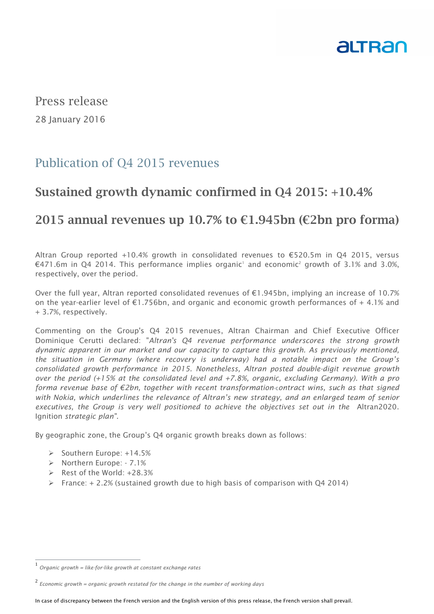

Press release 28 January 2016

# Publication of Q4 2015 revenues

# **Sustained growth dynamic confirmed in Q4 2015: +10.4%**

# **2015 annual revenues up 10.7% to €1.945bn (€2bn pro forma)**

Altran Group reported +10.4% growth in consolidated revenues to  $\epsilon$ 520.5m in Q4 2015, versus €471.6m in Q4 2014. This performance implies organic' and economic<sup>2</sup> growth of 3.1% and 3.0%, respectively, over the period.

Over the full year, Altran reported consolidated revenues of €1.945bn, implying an increase of 10.7% on the year-earlier level of  $\epsilon$ 1.756bn, and organic and economic growth performances of  $+$  4.1% and + 3.7%, respectively.

Commenting on the Group's Q4 2015 revenues, Altran Chairman and Chief Executive Officer Dominique Cerutti declared: "*Altran's Q4 revenue performance underscores the strong growth dynamic apparent in our market and our capacity to capture this growth. As previously mentioned, the situation in Germany (where recovery is underway) had a notable impact on the Group's consolidated growth performance in 2015. Nonetheless, Altran posted double-digit revenue growth over the period (+15% at the consolidated level and +7.8%, organic, excluding Germany). With a pro forma revenue base of €2bn, together with recent transformation*-c*ontract wins, such as that signed with Nokia, which underlines the relevance of Altran's new strategy, and an enlarged team of senior executives, the Group is very well positioned to achieve the objectives set out in the* Altran2020. Ignition *strategic plan".* 

By geographic zone, the Group's Q4 organic growth breaks down as follows:

- $\triangleright$  Southern Europe: +14.5%
- > Northern Europe: 7.1%
- $\triangleright$  Rest of the World: +28.3%
- France:  $+ 2.2$ % (sustained growth due to high basis of comparison with Q4 2014)

 1 *Organic growth = like-for-like growth at constant exchange rates* 

<sup>2</sup> *Economic growth = organic growth restated for the change in the number of working days*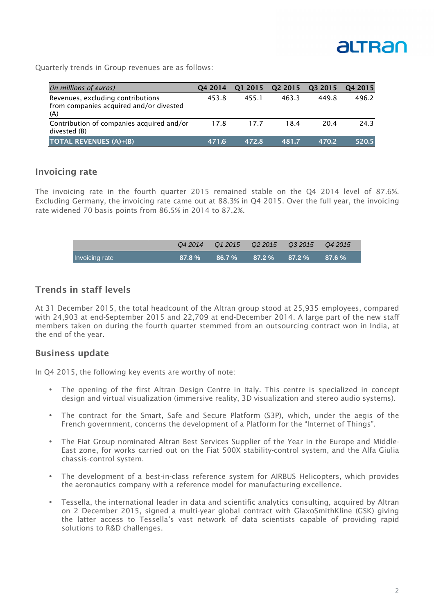

Quarterly trends in Group revenues are as follows:

| (in millions of euros)                                                              | 04 2014 | 01 2015 | Q <sub>2</sub> 2015 | 03 2015 | 04 2015 |
|-------------------------------------------------------------------------------------|---------|---------|---------------------|---------|---------|
| Revenues, excluding contributions<br>from companies acquired and/or divested<br>(A) | 453.8   | 455.1   | 463.3               | 449.8   | 496.2   |
| Contribution of companies acquired and/or<br>divested (B)                           | 17.8    | 17.7    | 18.4                | 20.4    | 24.3    |
| <b>TOTAL REVENUES (A)+(B)</b>                                                       | 471.6   | 472.8   | 481.7               | 470.2   | 520.5   |

### **Invoicing rate**

The invoicing rate in the fourth quarter 2015 remained stable on the Q4 2014 level of 87.6%. Excluding Germany, the invoicing rate came out at 88.3% in Q4 2015. Over the full year, the invoicing rate widened 70 basis points from 86.5% in 2014 to 87.2%.

|                | Q4 2014   | Q12015 |                   | Q 2 2 0 15 Q 3 2 0 15 Q 4 2 0 15 |           |
|----------------|-----------|--------|-------------------|----------------------------------|-----------|
| Invoicing rate | $87.8 \%$ | 86.7 % | $87.2\%$ $87.2\%$ |                                  | $87.6 \%$ |

### **Trends in staff levels**

At 31 December 2015, the total headcount of the Altran group stood at 25,935 employees, compared with 24,903 at end-September 2015 and 22,709 at end-December 2014. A large part of the new staff members taken on during the fourth quarter stemmed from an outsourcing contract won in India, at the end of the year.

#### **Business update**

In Q4 2015, the following key events are worthy of note:

- The opening of the first Altran Design Centre in Italy. This centre is specialized in concept design and virtual visualization (immersive reality, 3D visualization and stereo audio systems).
- The contract for the Smart, Safe and Secure Platform (S3P), which, under the aegis of the French government, concerns the development of a Platform for the "Internet of Things".
- The Fiat Group nominated Altran Best Services Supplier of the Year in the Europe and Middle-East zone, for works carried out on the Fiat 500X stability-control system, and the Alfa Giulia chassis-control system.
- The development of a best-in-class reference system for AIRBUS Helicopters, which provides the aeronautics company with a reference model for manufacturing excellence.
- Tessella, the international leader in data and scientific analytics consulting, acquired by Altran on 2 December 2015, signed a multi-year global contract with GlaxoSmithKline (GSK) giving the latter access to Tessella's vast network of data scientists capable of providing rapid solutions to R&D challenges.